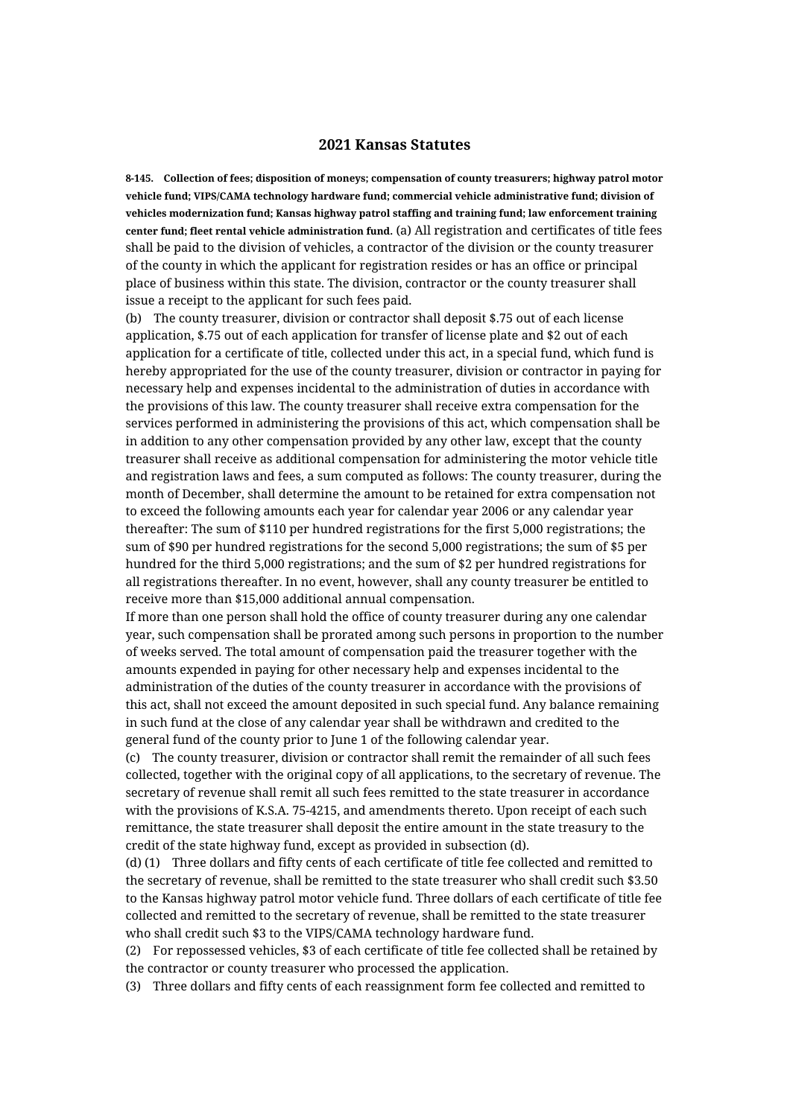## **2021 Kansas Statutes**

**8-145. Collection of fees; disposition of moneys; compensation of county treasurers; highway patrol motor vehicle fund; VIPS/CAMA technology hardware fund; commercial vehicle administrative fund; division of vehicles modernization fund; Kansas highway patrol staffing and training fund; law enforcement training center fund; fleet rental vehicle administration fund.** (a) All registration and certificates of title fees shall be paid to the division of vehicles, a contractor of the division or the county treasurer of the county in which the applicant for registration resides or has an office or principal place of business within this state. The division, contractor or the county treasurer shall issue a receipt to the applicant for such fees paid.

(b) The county treasurer, division or contractor shall deposit \$.75 out of each license application, \$.75 out of each application for transfer of license plate and \$2 out of each application for a certificate of title, collected under this act, in a special fund, which fund is hereby appropriated for the use of the county treasurer, division or contractor in paying for necessary help and expenses incidental to the administration of duties in accordance with the provisions of this law. The county treasurer shall receive extra compensation for the services performed in administering the provisions of this act, which compensation shall be in addition to any other compensation provided by any other law, except that the county treasurer shall receive as additional compensation for administering the motor vehicle title and registration laws and fees, a sum computed as follows: The county treasurer, during the month of December, shall determine the amount to be retained for extra compensation not to exceed the following amounts each year for calendar year 2006 or any calendar year thereafter: The sum of \$110 per hundred registrations for the first 5,000 registrations; the sum of \$90 per hundred registrations for the second 5,000 registrations; the sum of \$5 per hundred for the third 5,000 registrations; and the sum of \$2 per hundred registrations for all registrations thereafter. In no event, however, shall any county treasurer be entitled to receive more than \$15,000 additional annual compensation.

If more than one person shall hold the office of county treasurer during any one calendar year, such compensation shall be prorated among such persons in proportion to the number of weeks served. The total amount of compensation paid the treasurer together with the amounts expended in paying for other necessary help and expenses incidental to the administration of the duties of the county treasurer in accordance with the provisions of this act, shall not exceed the amount deposited in such special fund. Any balance remaining in such fund at the close of any calendar year shall be withdrawn and credited to the general fund of the county prior to June 1 of the following calendar year.

(c) The county treasurer, division or contractor shall remit the remainder of all such fees collected, together with the original copy of all applications, to the secretary of revenue. The secretary of revenue shall remit all such fees remitted to the state treasurer in accordance with the provisions of K.S.A. 75-4215, and amendments thereto. Upon receipt of each such remittance, the state treasurer shall deposit the entire amount in the state treasury to the credit of the state highway fund, except as provided in subsection (d).

(d) (1) Three dollars and fifty cents of each certificate of title fee collected and remitted to the secretary of revenue, shall be remitted to the state treasurer who shall credit such \$3.50 to the Kansas highway patrol motor vehicle fund. Three dollars of each certificate of title fee collected and remitted to the secretary of revenue, shall be remitted to the state treasurer who shall credit such \$3 to the VIPS/CAMA technology hardware fund.

(2) For repossessed vehicles, \$3 of each certificate of title fee collected shall be retained by the contractor or county treasurer who processed the application.

(3) Three dollars and fifty cents of each reassignment form fee collected and remitted to